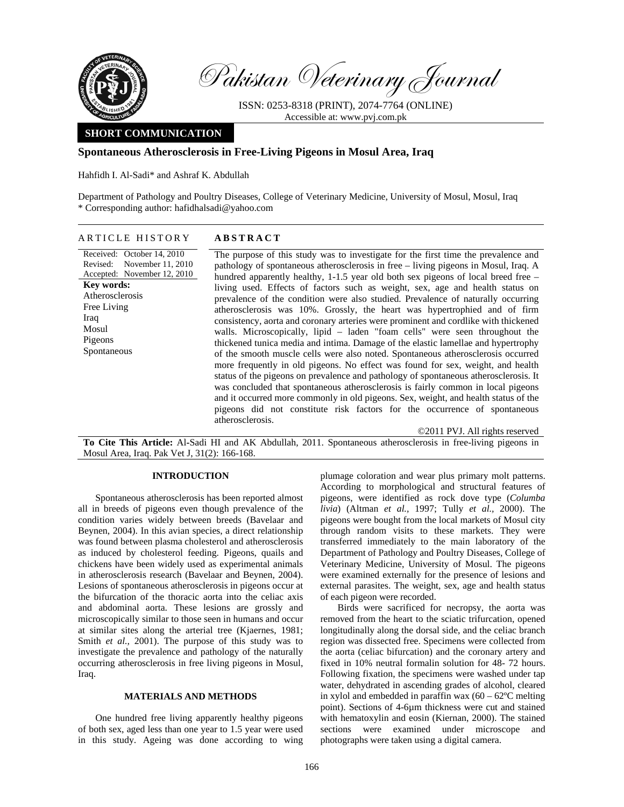

Pakistan Veterinary Journal

ISSN: 0253-8318 (PRINT), 2074-7764 (ONLINE) Accessible at: www.pvj.com.pk

# **SHORT COMMUNICATION**

## **Spontaneous Atherosclerosis in Free-Living Pigeons in Mosul Area, Iraq**

Hahfidh I. Al-Sadi\* and Ashraf K. Abdullah

Department of Pathology and Poultry Diseases, College of Veterinary Medicine, University of Mosul, Mosul, Iraq \* Corresponding author: hafidhalsadi@yahoo.com

## ARTICLE HISTORY **ABSTRACT**

Received: October 14, 2010 Revised: Accepted: November 12, 2010 November 11, 2010 **Key words:**  Atherosclerosis Free Living Iraq Mosul Pigeons Spontaneous

The purpose of this study was to investigate for the first time the prevalence and pathology of spontaneous atherosclerosis in free – living pigeons in Mosul, Iraq. A hundred apparently healthy, 1-1.5 year old both sex pigeons of local breed free – living used. Effects of factors such as weight, sex, age and health status on prevalence of the condition were also studied. Prevalence of naturally occurring atherosclerosis was 10%. Grossly, the heart was hypertrophied and of firm consistency, aorta and coronary arteries were prominent and cordlike with thickened walls. Microscopically, lipid – laden "foam cells" were seen throughout the thickened tunica media and intima. Damage of the elastic lamellae and hypertrophy of the smooth muscle cells were also noted. Spontaneous atherosclerosis occurred more frequently in old pigeons. No effect was found for sex, weight, and health status of the pigeons on prevalence and pathology of spontaneous atherosclerosis. It was concluded that spontaneous atherosclerosis is fairly common in local pigeons and it occurred more commonly in old pigeons. Sex, weight, and health status of the pigeons did not constitute risk factors for the occurrence of spontaneous atherosclerosis.

**To Cite This Article:** Al**-**Sadi HI and AK Abdullah, 2011. Spontaneous atherosclerosis in free-living pigeons in Mosul Area, Iraq. Pak Vet J, 31(2): 166-168.

### **INTRODUCTION**

Spontaneous atherosclerosis has been reported almost all in breeds of pigeons even though prevalence of the condition varies widely between breeds (Bavelaar and Beynen, 2004). In this avian species, a direct relationship was found between plasma cholesterol and atherosclerosis as induced by cholesterol feeding. Pigeons, quails and chickens have been widely used as experimental animals in atherosclerosis research (Bavelaar and Beynen, 2004). Lesions of spontaneous atherosclerosis in pigeons occur at the bifurcation of the thoracic aorta into the celiac axis and abdominal aorta. These lesions are grossly and microscopically similar to those seen in humans and occur at similar sites along the arterial tree (Kjaernes, 1981; Smith *et al.,* 2001). The purpose of this study was to investigate the prevalence and pathology of the naturally occurring atherosclerosis in free living pigeons in Mosul, Iraq.

## **MATERIALS AND METHODS**

One hundred free living apparently healthy pigeons of both sex, aged less than one year to 1.5 year were used in this study. Ageing was done according to wing plumage coloration and wear plus primary molt patterns. According to morphological and structural features of pigeons, were identified as rock dove type (*Columba livia*) (Altman *et al.,* 1997; Tully *et al.,* 2000). The pigeons were bought from the local markets of Mosul city through random visits to these markets. They were transferred immediately to the main laboratory of the Department of Pathology and Poultry Diseases, College of Veterinary Medicine, University of Mosul. The pigeons were examined externally for the presence of lesions and external parasites. The weight, sex, age and health status of each pigeon were recorded.

©2011 PVJ. All rights reserved

Birds were sacrificed for necropsy, the aorta was removed from the heart to the sciatic trifurcation, opened longitudinally along the dorsal side, and the celiac branch region was dissected free. Specimens were collected from the aorta (celiac bifurcation) and the coronary artery and fixed in 10% neutral formalin solution for 48- 72 hours. Following fixation, the specimens were washed under tap water, dehydrated in ascending grades of alcohol, cleared in xylol and embedded in paraffin wax  $(60 - 62^{\circ}C \text{ melting})$ point). Sections of 4-6µm thickness were cut and stained with hematoxylin and eosin (Kiernan, 2000). The stained sections were examined under microscope and photographs were taken using a digital camera.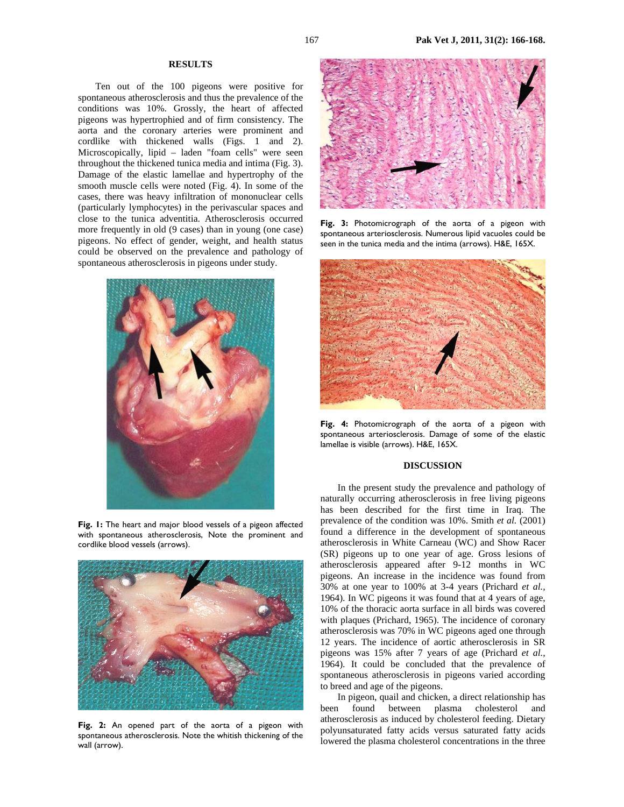## **RESULTS**

Ten out of the 100 pigeons were positive for spontaneous atherosclerosis and thus the prevalence of the conditions was 10%. Grossly, the heart of affected pigeons was hypertrophied and of firm consistency. The aorta and the coronary arteries were prominent and cordlike with thickened walls (Figs. 1 and 2). Microscopically, lipid – laden "foam cells" were seen throughout the thickened tunica media and intima (Fig. 3). Damage of the elastic lamellae and hypertrophy of the smooth muscle cells were noted (Fig. 4). In some of the cases, there was heavy infiltration of mononuclear cells (particularly lymphocytes) in the perivascular spaces and close to the tunica adventitia. Atherosclerosis occurred more frequently in old (9 cases) than in young (one case) pigeons. No effect of gender, weight, and health status could be observed on the prevalence and pathology of spontaneous atherosclerosis in pigeons under study.



**Fig. 1:** The heart and major blood vessels of a pigeon affected with spontaneous atherosclerosis, Note the prominent and cordlike blood vessels (arrows).



**Fig. 2:** An opened part of the aorta of a pigeon with spontaneous atherosclerosis. Note the whitish thickening of the wall (arrow).



**Fig. 3:** Photomicrograph of the aorta of a pigeon with spontaneous arteriosclerosis. Numerous lipid vacuoles could be seen in the tunica media and the intima (arrows). H&E, 165X.



**Fig. 4:** Photomicrograph of the aorta of a pigeon with spontaneous arteriosclerosis. Damage of some of the elastic lamellae is visible (arrows). H&E, 165X.

### **DISCUSSION**

In the present study the prevalence and pathology of naturally occurring atherosclerosis in free living pigeons has been described for the first time in Iraq. The prevalence of the condition was 10%. Smith *et al.* (2001) found a difference in the development of spontaneous atherosclerosis in White Carneau (WC) and Show Racer (SR) pigeons up to one year of age. Gross lesions of atherosclerosis appeared after 9-12 months in WC pigeons. An increase in the incidence was found from 30% at one year to 100% at 3-4 years (Prichard *et al.,*  1964). In WC pigeons it was found that at 4 years of age, 10% of the thoracic aorta surface in all birds was covered with plaques (Prichard, 1965). The incidence of coronary atherosclerosis was 70% in WC pigeons aged one through 12 years. The incidence of aortic atherosclerosis in SR pigeons was 15% after 7 years of age (Prichard *et al.,*  1964). It could be concluded that the prevalence of spontaneous atherosclerosis in pigeons varied according to breed and age of the pigeons.

In pigeon, quail and chicken, a direct relationship has been found between plasma cholesterol and atherosclerosis as induced by cholesterol feeding. Dietary polyunsaturated fatty acids versus saturated fatty acids lowered the plasma cholesterol concentrations in the three